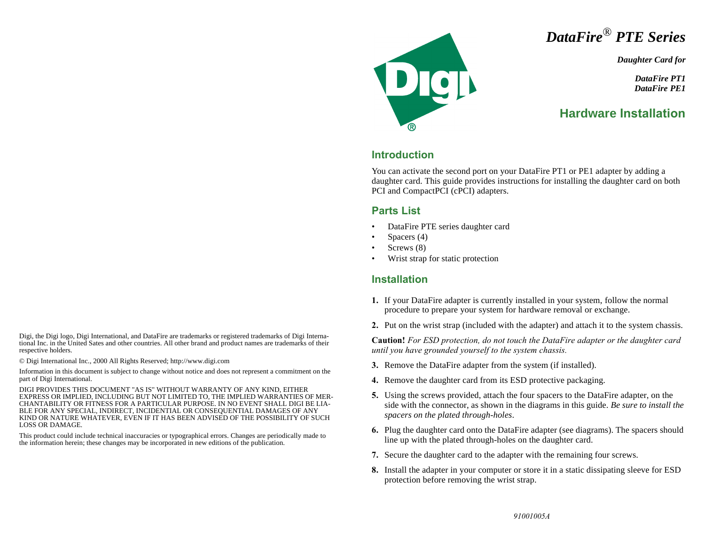

*Daughter Card for*

*DataFire PT1 DataFire PE1*

# **Hardware Installation**

### **Introduction**

Dei

You can activate the second port on your DataFire PT1 or PE1 adapter by adding a daughter card. This guide provides instructions for installing the daughter card on both PCI and CompactPCI (cPCI) adapters.

#### **Parts List**

- DataFire PTE series daughter card
- Spacers (4)
- Screws (8)
- Wrist strap for static protection

#### **Installation**

- **1.** If your DataFire adapter is currently installed in your system, follow the normal procedure to prepare your system for hardware removal or exchange.
- **2.** Put on the wrist strap (included with the adapter) and attach it to the system chassis.

**Caution!** *For ESD protection, do not touch the DataFire adapter or the daughter card until you have grounded yourself to the system chassis.*

- **3.** Remove the DataFire adapter from the system (if installed).
- **4.** Remove the daughter card from its ESD protective packaging.
- **5.** Using the screws provided, attach the four spacers to the DataFire adapter, on the side with the connector, as shown in the diagrams in this guide. *Be sure to install the spacers on the plated through-holes*.
- **6.** Plug the daughter card onto the DataFire adapter (see diagrams). The spacers should line up with the plated through-holes on the daughter card.
- **7.** Secure the daughter card to the adapter with the remaining four screws.
- **8.** Install the adapter in your computer or store it in a static dissipating sleeve for ESD protection before removing the wrist strap.

Digi, the Digi logo, Digi International, and DataFire are trademarks or registered trademarks of Digi International Inc. in the United Sates and other countries. All other brand and product names are trademarks of their respective holders.

© Digi International Inc., 2000 All Rights Reserved; http://www.digi.com

Information in this document is subject to change without notice and does not represent a commitment on the part of Digi International.

DIGI PROVIDES THIS DOCUMENT "AS IS" WITHOUT WARRANTY OF ANY KIND, EITHER EXPRESS OR IMPLIED, INCLUDING BUT NOT LIMITED TO, THE IMPLIED WARRANTIES OF MER-CHANTABILITY OR FITNESS FOR A PARTICULAR PURPOSE. IN NO EVENT SHALL DIGI BE LIA-BLE FOR ANY SPECIAL, INDIRECT, INCIDENTIAL OR CONSEQUENTIAL DAMAGES OF ANY KIND OR NATURE WHATEVER, EVEN IF IT HAS BEEN ADVISED OF THE POSSIBILITY OF SUCH LOSS OR DAMAGE.

This product could include technical inaccuracies or typographical errors. Changes are periodically made to the information herein; these changes may be incorporated in new editions of the publication.